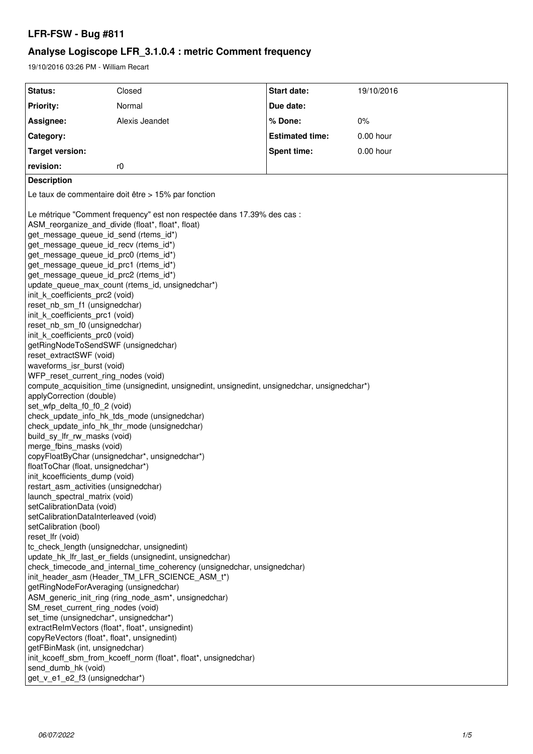# **LFR-FSW - Bug #811**

# **Analyse Logiscope LFR\_3.1.0.4 : metric Comment frequency**

19/10/2016 03:26 PM - William Recart

| Status:                                                                                                                                                                                                                                                                                                                                                                                                                                                                                                                                                                                                                                                                                                                                                                                                                                                                                                                                                                                                                                                                                                                                                                                                                                                                                                                                               | Closed                                                                                                                                                                                                                                                                                                                                                                                                                                                                                                                                                                                                                                                                                             | Start date:            | 19/10/2016 |
|-------------------------------------------------------------------------------------------------------------------------------------------------------------------------------------------------------------------------------------------------------------------------------------------------------------------------------------------------------------------------------------------------------------------------------------------------------------------------------------------------------------------------------------------------------------------------------------------------------------------------------------------------------------------------------------------------------------------------------------------------------------------------------------------------------------------------------------------------------------------------------------------------------------------------------------------------------------------------------------------------------------------------------------------------------------------------------------------------------------------------------------------------------------------------------------------------------------------------------------------------------------------------------------------------------------------------------------------------------|----------------------------------------------------------------------------------------------------------------------------------------------------------------------------------------------------------------------------------------------------------------------------------------------------------------------------------------------------------------------------------------------------------------------------------------------------------------------------------------------------------------------------------------------------------------------------------------------------------------------------------------------------------------------------------------------------|------------------------|------------|
| <b>Priority:</b>                                                                                                                                                                                                                                                                                                                                                                                                                                                                                                                                                                                                                                                                                                                                                                                                                                                                                                                                                                                                                                                                                                                                                                                                                                                                                                                                      | Normal                                                                                                                                                                                                                                                                                                                                                                                                                                                                                                                                                                                                                                                                                             | Due date:              |            |
| Assignee:                                                                                                                                                                                                                                                                                                                                                                                                                                                                                                                                                                                                                                                                                                                                                                                                                                                                                                                                                                                                                                                                                                                                                                                                                                                                                                                                             | Alexis Jeandet                                                                                                                                                                                                                                                                                                                                                                                                                                                                                                                                                                                                                                                                                     | % Done:                | $0\%$      |
| Category:                                                                                                                                                                                                                                                                                                                                                                                                                                                                                                                                                                                                                                                                                                                                                                                                                                                                                                                                                                                                                                                                                                                                                                                                                                                                                                                                             |                                                                                                                                                                                                                                                                                                                                                                                                                                                                                                                                                                                                                                                                                                    | <b>Estimated time:</b> | 0.00 hour  |
| <b>Target version:</b>                                                                                                                                                                                                                                                                                                                                                                                                                                                                                                                                                                                                                                                                                                                                                                                                                                                                                                                                                                                                                                                                                                                                                                                                                                                                                                                                |                                                                                                                                                                                                                                                                                                                                                                                                                                                                                                                                                                                                                                                                                                    | <b>Spent time:</b>     | 0.00 hour  |
| revision:                                                                                                                                                                                                                                                                                                                                                                                                                                                                                                                                                                                                                                                                                                                                                                                                                                                                                                                                                                                                                                                                                                                                                                                                                                                                                                                                             | r0                                                                                                                                                                                                                                                                                                                                                                                                                                                                                                                                                                                                                                                                                                 |                        |            |
| <b>Description</b>                                                                                                                                                                                                                                                                                                                                                                                                                                                                                                                                                                                                                                                                                                                                                                                                                                                                                                                                                                                                                                                                                                                                                                                                                                                                                                                                    |                                                                                                                                                                                                                                                                                                                                                                                                                                                                                                                                                                                                                                                                                                    |                        |            |
| Le taux de commentaire doit être > 15% par fonction                                                                                                                                                                                                                                                                                                                                                                                                                                                                                                                                                                                                                                                                                                                                                                                                                                                                                                                                                                                                                                                                                                                                                                                                                                                                                                   |                                                                                                                                                                                                                                                                                                                                                                                                                                                                                                                                                                                                                                                                                                    |                        |            |
| ASM_reorganize_and_divide (float*, float*, float)<br>get_message_queue_id_send (rtems_id*)<br>get_message_queue_id_recv (rtems_id*)<br>get_message_queue_id_prc0 (rtems_id*)<br>get_message_queue_id_prc1 (rtems_id*)<br>get_message_queue_id_prc2 (rtems_id*)<br>init k coefficients prc2 (void)<br>reset nb sm f1 (unsignedchar)<br>init_k_coefficients_prc1 (void)<br>reset_nb_sm_f0 (unsignedchar)<br>init k coefficients prc0 (void)<br>getRingNodeToSendSWF (unsignedchar)<br>reset extractSWF (void)<br>waveforms_isr_burst (void)<br>WFP_reset_current_ring_nodes (void)<br>applyCorrection (double)<br>set_wfp_delta_f0_f0_2 (void)<br>build sy Ifr rw masks (void)<br>merge_fbins_masks (void)<br>floatToChar (float, unsignedchar*)<br>init kcoefficients dump (void)<br>restart_asm_activities (unsignedchar)<br>launch_spectral_matrix (void)<br>setCalibrationData (void)<br>setCalibrationDataInterleaved (void)<br>setCalibration (bool)<br>reset_lfr (void)<br>tc_check_length (unsignedchar, unsignedint)<br>getRingNodeForAveraging (unsignedchar)<br>SM reset current ring nodes (void)<br>set_time (unsignedchar*, unsignedchar*)<br>extractReImVectors (float*, float*, unsignedint)<br>copyReVectors (float*, float*, unsignedint)<br>getFBinMask (int, unsignedchar)<br>send_dumb_hk (void)<br>get_v_e1_e2_f3 (unsignedchar*) | Le métrique "Comment frequency" est non respectée dans 17.39% des cas :<br>update_queue_max_count (rtems_id, unsignedchar*)<br>compute_acquisition_time (unsignedint, unsignedint, unsignedint, unsignedchar, unsignedchar*)<br>check_update_info_hk_tds_mode (unsignedchar)<br>check_update_info_hk_thr_mode (unsignedchar)<br>copyFloatByChar (unsignedchar*, unsignedchar*)<br>update_hk_lfr_last_er_fields (unsignedint, unsignedchar)<br>check_timecode_and_internal_time_coherency (unsignedchar, unsignedchar)<br>init_header_asm (Header_TM_LFR_SCIENCE_ASM_t*)<br>ASM_generic_init_ring (ring_node_asm*, unsignedchar)<br>init_kcoeff_sbm_from_kcoeff_norm (float*, float*, unsignedchar) |                        |            |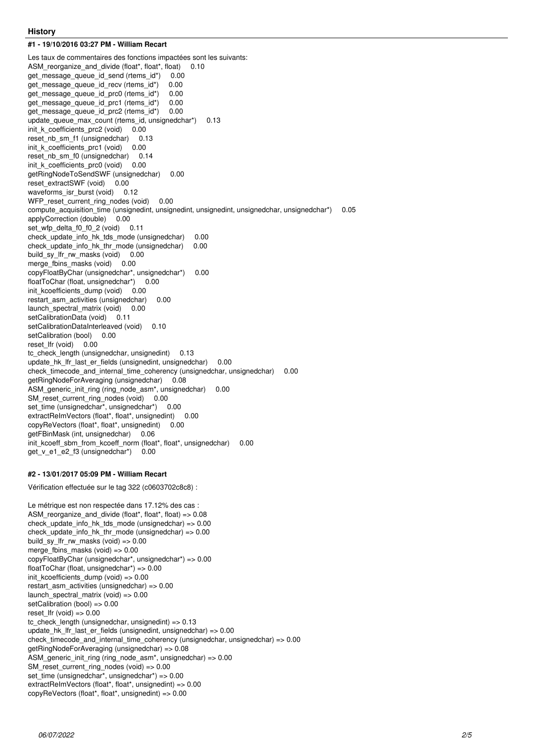#### **History**

**#1 - 19/10/2016 03:27 PM - William Recart**

Les taux de commentaires des fonctions impactées sont les suivants: ASM\_reorganize\_and\_divide (float\*, float\*, float) 0.10 get\_message\_queue\_id\_send (rtems\_id\*) 0.00 get\_message\_queue\_id\_recv (rtems\_id\*) 0.00<br>get\_message\_queue\_id\_prc0 (rtems\_id\*) 0.00 get\_message\_queue\_id\_prc0 (rtems\_id\*) get\_message\_queue\_id\_prc1 (rtems\_id\*) 0.00 get\_message\_queue\_id\_prc2 (rtems\_id\*) 0.00 update\_queue\_max\_count (rtems\_id, unsignedchar\*) 0.13 init\_k\_coefficients\_prc2 (void) 0.00 reset nb sm f1 (unsignedchar) 0.13 init\_k\_coefficients\_prc1 (void) 0.00 reset nb sm f0 (unsignedchar) 0.14 init\_k\_coefficients\_prc0 (void) 0.00 getRingNodeToSendSWF (unsignedchar) 0.00 reset\_extractSWF (void) 0.00 waveforms isr burst (void)  $0.12$ WFP\_reset\_current\_ring\_nodes (void) 0.00 compute\_acquisition\_time (unsignedint, unsignedint, unsignedint, unsignedchar, unsignedchar\*) 0.05 applyCorrection (double) 0.00 set wfp\_delta\_f0\_f0\_2 (void) 0.11 check update info hk tds mode (unsignedchar) 0.00 check\_update\_info\_hk\_thr\_mode (unsignedchar) 0.00 build\_sy\_lfr\_rw\_masks (void) 0.00 merge\_fbins\_masks (void) 0.00 copyFloatByChar (unsignedchar\*, unsignedchar\*) 0.00 floatToChar (float, unsignedchar\*) 0.00 init\_kcoefficients\_dump (void) 0.00 restart asm activities (unsignedchar) 0.00 launch\_spectral\_matrix (void) 0.00 setCalibrationData (void) 0.11 setCalibrationDataInterleaved (void) 0.10 setCalibration (bool) 0.00 reset\_lfr (void) 0.00 tc\_check\_length (unsignedchar, unsignedint) 0.13 update\_hk\_lfr\_last\_er\_fields (unsignedint, unsignedchar) 0.00 check timecode and internal time coherency (unsignedchar, unsignedchar) 0.00 getRingNodeForAveraging (unsignedchar) 0.08 ASM\_generic\_init\_ring (ring\_node\_asm\*, unsignedchar) 0.00 SM\_reset\_current\_ring\_nodes (void) 0.00 set\_time (unsignedchar\*, unsignedchar\*) 0.00 extractReImVectors (float\*, float\*, unsignedint) 0.00 copyReVectors (float\*, float\*, unsignedint) 0.00 getFBinMask (int, unsignedchar) 0.06 init\_kcoeff\_sbm\_from\_kcoeff\_norm (float\*, float\*, unsignedchar) 0.00 get\_v\_e1\_e2\_f3 (unsignedchar\*) 0.00

#### **#2 - 13/01/2017 05:09 PM - William Recart**

Vérification effectuée sur le tag 322 (c0603702c8c8) :

Le métrique est non respectée dans 17.12% des cas : ASM\_reorganize\_and\_divide (float\*, float\*, float) => 0.08 check\_update\_info\_hk\_tds\_mode (unsignedchar) => 0.00 check\_update\_info\_hk\_thr\_mode (unsignedchar) => 0.00 build\_sy\_lfr\_rw\_masks (void) => 0.00 merge\_fbins\_masks (void) => 0.00 copyFloatByChar (unsignedchar\*, unsignedchar\*) => 0.00 floatToChar (float, unsignedchar\*) => 0.00 init\_kcoefficients\_dump (void) =>  $0.00$ restart\_asm\_activities (unsignedchar) =>  $0.00$ launch spectral matrix (void)  $=$   $> 0.00$ setCalibration (bool) => 0.00 reset Ifr (void)  $=> 0.00$ tc\_check\_length (unsignedchar, unsignedint) => 0.13 update hk\_lfr\_last\_er\_fields (unsignedint, unsignedchar) =>  $0.00$ check\_timecode\_and\_internal\_time\_coherency (unsignedchar, unsignedchar) => 0.00 getRingNodeForAveraging (unsignedchar) => 0.08 ASM generic init ring (ring node  $asm^*$ , unsignedchar) => 0.00 SM\_reset\_current\_ring\_nodes (void) =>  $0.00$ set\_time (unsignedchar\*, unsignedchar\*) => 0.00 extractReImVectors (float\*, float\*, unsignedint) => 0.00 copyReVectors (float\*, float\*, unsignedint) => 0.00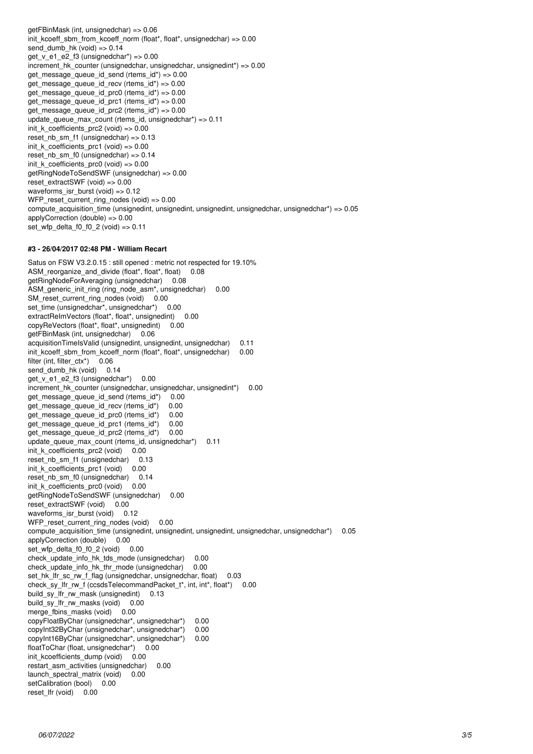getFBinMask (int, unsignedchar) => 0.06 init\_kcoeff\_sbm\_from\_kcoeff\_norm (float\*, float\*, unsignedchar) => 0.00 send dumb hk (void)  $=> 0.14$ get\_v\_e1\_e2\_f3 (unsignedchar\*) => 0.00 increment hk counter (unsignedchar, unsignedchar, unsignedint\*) =>  $0.00$ get message queue id send (rtems  $id^*$ ) => 0.00 get\_message\_queue\_id\_recv (rtems\_id\*) =>  $0.00$ get\_message\_queue\_id\_prc0 (rtems\_id\*) => 0.00 get\_message\_queue\_id\_prc1 (rtems\_id\*) => 0.00 get message queue id prc2 (rtems  $id^*$ ) => 0.00 update\_queue\_max\_count (rtems\_id, unsignedchar\*) => 0.11 init\_k\_coefficients\_prc2 (void) =>  $0.00$ reset nb sm f1 (unsignedchar) =>  $0.13$ init k coefficients  $prc1$  (void) => 0.00 reset nb sm f0 (unsignedchar)  $=$   $>$  0.14 init\_k\_coefficients\_prc0 (void) =>  $0.00$ getRingNodeToSendSWF (unsignedchar) => 0.00 reset\_extractSWF (void) => 0.00 waveforms\_isr\_burst (void) => 0.12 WFP\_reset\_current\_ring\_nodes (void) => 0.00 compute acquisition time (unsignedint, unsignedint, unsignedint, unsignedchar, unsignedchar\*) => 0.05 applyCorrection (double) => 0.00 set\_wfp\_delta\_f0\_f0\_2 (void) => 0.11

### **#3 - 26/04/2017 02:48 PM - William Recart**

Satus on FSW V3.2.0.15 : still opened : metric not respected for 19.10% ASM\_reorganize\_and\_divide (float\*, float\*, float) 0.08 getRingNodeForAveraging (unsignedchar) 0.08 ASM\_generic\_init\_ring (ring\_node\_asm\*, unsignedchar) 0.00 SM\_reset\_current\_ring\_nodes (void) 0.00 set\_time (unsignedchar\*, unsignedchar\*) 0.00 extractReImVectors (float\*, float\*, unsignedint) 0.00 copyReVectors (float\*, float\*, unsignedint) 0.00 getFBinMask (int, unsignedchar) 0.06 acquisitionTimeIsValid (unsignedint, unsignedint, unsignedchar) 0.11 init\_kcoeff\_sbm\_from\_kcoeff\_norm (float\*, float\*, unsignedchar) 0.00 filter (int, filter\_ctx\*) 0.06 send\_dumb\_hk (void) 0.14 get v e1 e2 f3 (unsignedchar\*) 0.00 increment hk counter (unsignedchar, unsignedchar, unsignedint\*) 0.00 get\_message\_queue\_id\_send (rtems\_id\*) 0.00 get\_message\_queue\_id\_recv (rtems\_id\*) 0.00 get message queue id prc0 (rtems id\*) 0.00 get\_message\_queue\_id\_prc1 (rtems\_id\*) 0.00 get message queue id prc2 (rtems id\*) 0.00 update\_queue\_max\_count (rtems\_id, unsignedchar\*) 0.11 init\_k\_coefficients\_prc2 (void) 0.00 reset nb sm\_f1 (unsignedchar) 0.13 init\_k\_coefficients\_prc1 (void) 0.00 reset nb sm\_f0 (unsignedchar) 0.14 init\_k\_coefficients\_prc0 (void) 0.00 getRingNodeToSendSWF (unsignedchar) 0.00 reset\_extractSWF (void) 0.00 waveforms\_isr\_burst (void) 0.12 WFP\_reset\_current\_ring\_nodes (void) 0.00 compute\_acquisition\_time (unsignedint, unsignedint, unsignedint, unsignedchar, unsignedchar\*) 0.05 applyCorrection (double) 0.00 set\_wfp\_delta\_f0\_f0\_2 (void) 0.00 check\_update\_info\_hk\_tds\_mode (unsignedchar) 0.00 check update info hk thr mode (unsignedchar) 0.00 set hk\_lfr\_sc\_rw\_f\_flag (unsignedchar, unsignedchar, float) 0.03 check sy lfr\_rw\_f (ccsdsTelecommandPacket\_t\*, int, int\*, float\*) 0.00 build\_sy\_lfr\_rw\_mask (unsignedint) 0.13 build\_sy\_lfr\_rw\_masks (void) 0.00 merge\_fbins\_masks (void) 0.00 copyFloatByChar (unsignedchar\*, unsignedchar\*) 0.00 copyInt32ByChar (unsignedchar\*, unsignedchar\*) 0.00 copyInt16ByChar (unsignedchar\*, unsignedchar\*) 0.00 floatToChar (float, unsignedchar\*) 0.00 init\_kcoefficients\_dump (void) 0.00 restart\_asm\_activities (unsignedchar) 0.00 launch\_spectral\_matrix (void) 0.00 setCalibration (bool) 0.00 reset\_lfr (void) 0.00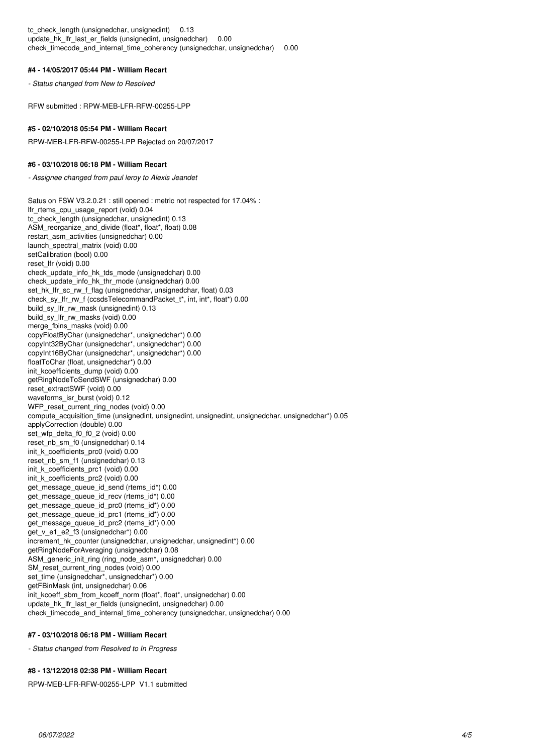tc\_check\_length (unsignedchar, unsignedint) 0.13 update\_hk\_lfr\_last\_er\_fields (unsignedint, unsignedchar) 0.00 check timecode and internal time coherency (unsignedchar, unsignedchar) 0.00

#### **#4 - 14/05/2017 05:44 PM - William Recart**

*- Status changed from New to Resolved*

RFW submitted : RPW-MEB-LFR-RFW-00255-LPP

#### **#5 - 02/10/2018 05:54 PM - William Recart**

RPW-MEB-LFR-RFW-00255-LPP Rejected on 20/07/2017

#### **#6 - 03/10/2018 06:18 PM - William Recart**

*- Assignee changed from paul leroy to Alexis Jeandet*

Satus on FSW V3.2.0.21 : still opened : metric not respected for 17.04% : lfr\_rtems\_cpu\_usage\_report (void) 0.04 tc\_check\_length (unsignedchar, unsignedint) 0.13 ASM\_reorganize\_and\_divide (float\*, float\*, float) 0.08 restart\_asm\_activities (unsignedchar) 0.00 launch\_spectral\_matrix (void) 0.00 setCalibration (bool) 0.00 reset\_lfr (void) 0.00 check\_update\_info\_hk\_tds\_mode (unsignedchar) 0.00 check\_update\_info\_hk\_thr\_mode (unsignedchar) 0.00 set\_hk\_lfr\_sc\_rw\_f\_flag (unsignedchar, unsignedchar, float) 0.03 check\_sy\_lfr\_rw\_f (ccsdsTelecommandPacket\_t\*, int, int\*, float\*) 0.00 build\_sy\_lfr\_rw\_mask (unsignedint) 0.13 build\_sy\_lfr\_rw\_masks (void) 0.00 merge\_fbins\_masks (void) 0.00 copyFloatByChar (unsignedchar\*, unsignedchar\*) 0.00 copyInt32ByChar (unsignedchar\*, unsignedchar\*) 0.00 copyInt16ByChar (unsignedchar\*, unsignedchar\*) 0.00 floatToChar (float, unsignedchar\*) 0.00 init\_kcoefficients\_dump (void) 0.00 getRingNodeToSendSWF (unsignedchar) 0.00 reset\_extractSWF (void) 0.00 waveforms\_isr\_burst (void) 0.12 WFP\_reset\_current\_ring\_nodes (void) 0.00 compute\_acquisition\_time (unsignedint, unsignedint, unsignedint, unsignedchar, unsignedchar\*) 0.05 applyCorrection (double) 0.00 set\_wfp\_delta\_f0\_f0\_2 (void) 0.00 reset\_nb\_sm\_f0 (unsignedchar) 0.14 init\_k\_coefficients\_prc0 (void) 0.00 reset\_nb\_sm\_f1 (unsignedchar) 0.13 init\_k\_coefficients\_prc1 (void) 0.00 init\_k\_coefficients\_prc2 (void) 0.00 get message queue id send (rtems id\*) 0.00 get\_message\_queue\_id\_recv (rtems\_id\*) 0.00 get message queue id prc0 (rtems id\*) 0.00 get\_message\_queue\_id\_prc1 (rtems\_id\*) 0.00 get\_message\_queue\_id\_prc2 (rtems\_id\*) 0.00 get\_v\_e1\_e2\_f3 (unsignedchar\*) 0.00 increment\_hk\_counter (unsignedchar, unsignedchar, unsignedint\*) 0.00 getRingNodeForAveraging (unsignedchar) 0.08 ASM\_generic\_init\_ring (ring\_node\_asm\*, unsignedchar) 0.00 SM\_reset\_current\_ring\_nodes (void) 0.00 set\_time (unsignedchar\*, unsignedchar\*) 0.00 getFBinMask (int, unsignedchar) 0.06 init\_kcoeff\_sbm\_from\_kcoeff\_norm (float\*, float\*, unsignedchar) 0.00 update hk\_lfr\_last\_er\_fields (unsignedint, unsignedchar) 0.00 check timecode and internal time coherency (unsignedchar, unsignedchar) 0.00

#### **#7 - 03/10/2018 06:18 PM - William Recart**

*- Status changed from Resolved to In Progress*

#### **#8 - 13/12/2018 02:38 PM - William Recart**

RPW-MEB-LFR-RFW-00255-LPP V1.1 submitted